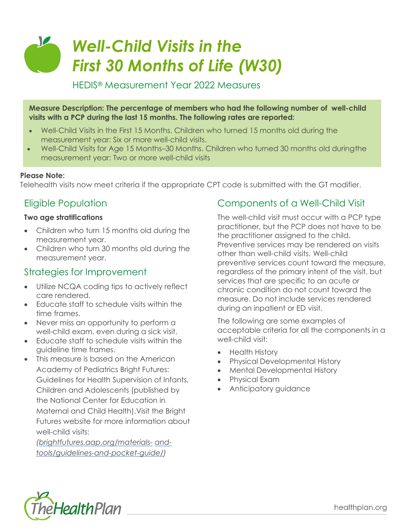# *Well-Child Visits in the First 30 Months of Life (W30)*

HEDIS® Measurement Year 2022 Measures

**Measure Description: The percentage of members who had the following number of well-child visits with a PCP during the last 15 months. The following rates are reported:**

- Well-Child Visits in the First 15 Months. Children who turned 15 months old during the measurement year: Six or more well-child visits.
- Well-Child Visits for Age 15 Months–30 Months. Children who turned 30 months old duringthe measurement year: Two or more well-child visits

#### **Please Note:**

Telehealth visits now meet criteria if the appropriate CPT code is submitted with the GT modifier.

## Eligible Population

#### **Two age stratifications**

- Children who turn 15 months old during the measurement year.
- Children who turn 30 months old during the measurement year.

#### Strategies for Improvement

- Utilize NCQA coding tips to actively reflect care rendered.
- Educate staff to schedule visits within the time frames.
- Never miss an opportunity to perform a well-child exam, even during a sick visit.
- Educate staff to schedule visits within the guideline time frames.
- This measure is based on the American Academy of Pediatrics Bright Futures: Guidelines for Health Supervision of Infants, Children and Adolescents (published by the National Center for Education in Maternal and Child Health).Visit the Bright Futures website for more information about well-child visits:

*[\(brightfutures.aap.org/materials-](https://brightfutures.aap.org/materials-and-tools/guidelines-and-pocket-guide/) [and](https://brightfutures.aap.org/materials-and-tools/guidelines-and-pocket-guide/)[tools/guidelines-and-pocket-guide/\)](https://brightfutures.aap.org/materials-and-tools/guidelines-and-pocket-guide/)*

#### Components of a Well-Child Visit

The well-child visit must occur with a PCP type practitioner, but the PCP does not have to be the practitioner assigned to the child. Preventive services may be rendered on visits other than well-child visits. Well-child preventive services count toward the measure, regardless of the primary intent of the visit, but services that are specific to an acute or chronic condition do not count toward the measure. Do not include services rendered during an inpatient or ED visit.

The following are some examples of acceptable criteria for all the components in a well-child visit:

- Health History
- Physical Developmental History
- Mental Developmental History
- Physical Exam
- Anticipatory guidance